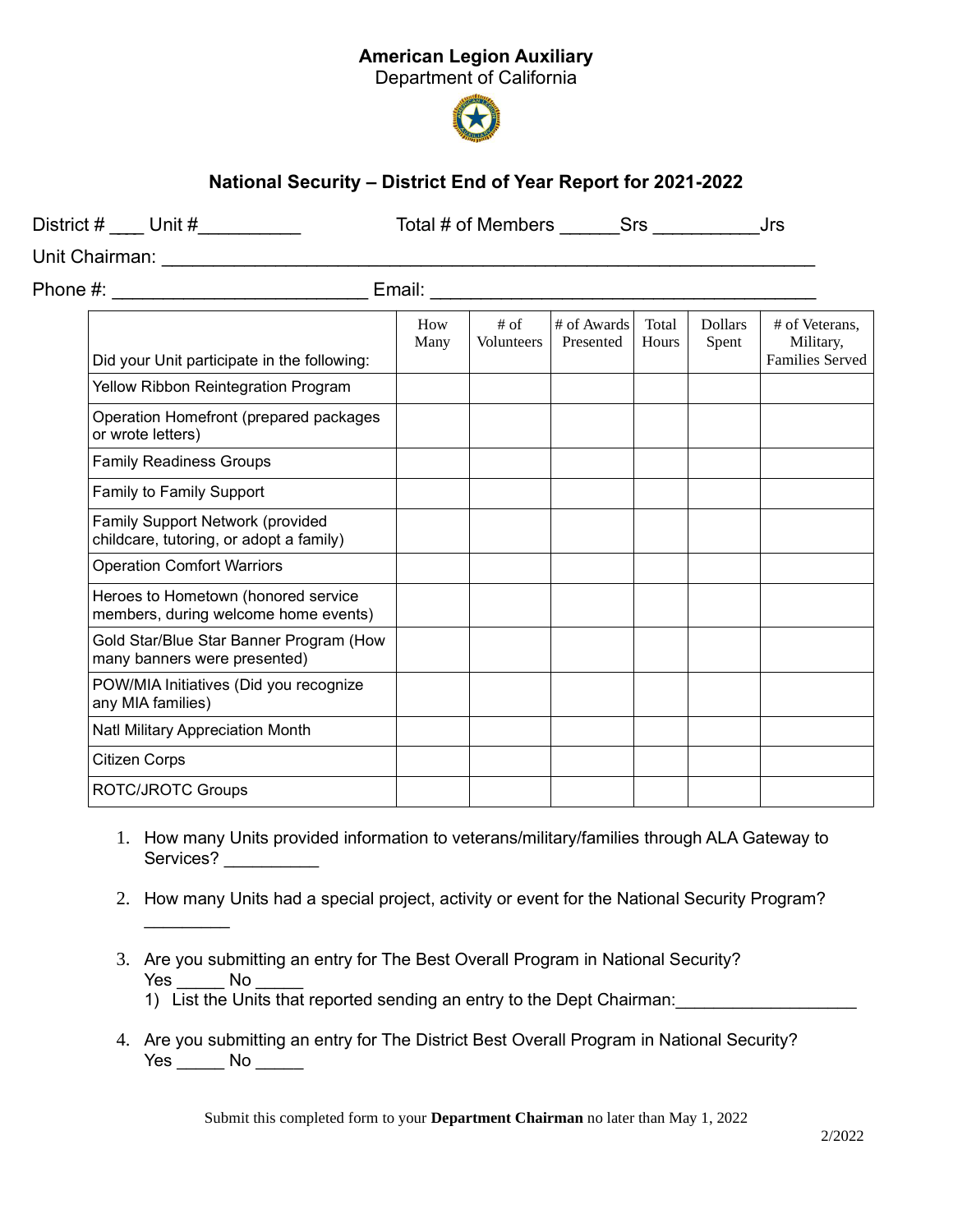## American Legion Auxiliary

Department of California



## National Security – District End of Year Report for 2021-2022

| District $\#$ ____ Unit $\#$ ___________                                    |             |                             | Total # of Members Srs Srs Jrs |                |                         |                                                |
|-----------------------------------------------------------------------------|-------------|-----------------------------|--------------------------------|----------------|-------------------------|------------------------------------------------|
|                                                                             |             |                             |                                |                |                         |                                                |
| Phone #: _______________________________                                    |             |                             |                                |                |                         |                                                |
| Did your Unit participate in the following:                                 | How<br>Many | $#$ of<br><b>Volunteers</b> | # of Awards<br>Presented       | Total<br>Hours | <b>Dollars</b><br>Spent | # of Veterans,<br>Military,<br>Families Served |
| Yellow Ribbon Reintegration Program                                         |             |                             |                                |                |                         |                                                |
| Operation Homefront (prepared packages<br>or wrote letters)                 |             |                             |                                |                |                         |                                                |
| <b>Family Readiness Groups</b>                                              |             |                             |                                |                |                         |                                                |
| Family to Family Support                                                    |             |                             |                                |                |                         |                                                |
| Family Support Network (provided<br>childcare, tutoring, or adopt a family) |             |                             |                                |                |                         |                                                |
| <b>Operation Comfort Warriors</b>                                           |             |                             |                                |                |                         |                                                |
| Heroes to Hometown (honored service<br>members, during welcome home events) |             |                             |                                |                |                         |                                                |
| Gold Star/Blue Star Banner Program (How<br>many banners were presented)     |             |                             |                                |                |                         |                                                |
| POW/MIA Initiatives (Did you recognize<br>any MIA families)                 |             |                             |                                |                |                         |                                                |
| Natl Military Appreciation Month                                            |             |                             |                                |                |                         |                                                |
| <b>Citizen Corps</b>                                                        |             |                             |                                |                |                         |                                                |
| <b>ROTC/JROTC Groups</b>                                                    |             |                             |                                |                |                         |                                                |

- 1. How many Units provided information to veterans/military/families through ALA Gateway to Services? \_\_\_\_\_\_\_\_\_\_
- 2. How many Units had a special project, activity or event for the National Security Program?
- 3. Are you submitting an entry for The Best Overall Program in National Security? Yes No
	- 1) List the Units that reported sending an entry to the Dept Chairman:

 $\frac{1}{2}$ 

4. Are you submitting an entry for The District Best Overall Program in National Security? Yes No No

Submit this completed form to your Department Chairman no later than May 1, 2022